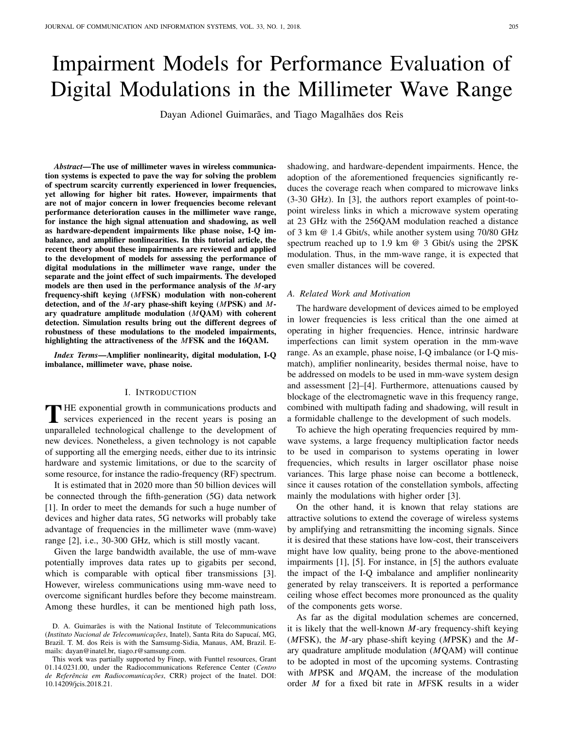# Impairment Models for Performance Evaluation of Digital Modulations in the Millimeter Wave Range

Dayan Adionel Guimarães, and Tiago Magalhães dos Reis

*Abstract*—The use of millimeter waves in wireless communication systems is expected to pave the way for solving the problem of spectrum scarcity currently experienced in lower frequencies, yet allowing for higher bit rates. However, impairments that are not of major concern in lower frequencies become relevant performance deterioration causes in the millimeter wave range, for instance the high signal attenuation and shadowing, as well as hardware-dependent impairments like phase noise, I-Q imbalance, and amplifier nonlinearities. In this tutorial article, the recent theory about these impairments are reviewed and applied to the development of models for assessing the performance of digital modulations in the millimeter wave range, under the separate and the joint effect of such impairments. The developed models are then used in the performance analysis of the *M*-ary frequency-shift keying (*M*FSK) modulation with non-coherent detection, and of the *M*-ary phase-shift keying (*M*PSK) and *M*ary quadrature amplitude modulation (*M*QAM) with coherent detection. Simulation results bring out the different degrees of robustness of these modulations to the modeled impairments, highlighting the attractiveness of the *M*FSK and the 16QAM.

*Index Terms*—Amplifier nonlinearity, digital modulation, I-Q imbalance, millimeter wave, phase noise.

### I. INTRODUCTION

THE exponential growth in communications products and<br>services experienced in the recent years is posing an  $\blacksquare$  HE exponential growth in communications products and unparalleled technological challenge to the development of new devices. Nonetheless, a given technology is not capable of supporting all the emerging needs, either due to its intrinsic hardware and systemic limitations, or due to the scarcity of some resource, for instance the radio-frequency (RF) spectrum.

It is estimated that in 2020 more than 50 billion devices will be connected through the fifth-generation (5G) data network [1]. In order to meet the demands for such a huge number of devices and higher data rates, 5G networks will probably take advantage of frequencies in the millimeter wave (mm-wave) range [2], i.e., 30-300 GHz, which is still mostly vacant.

Given the large bandwidth available, the use of mm-wave potentially improves data rates up to gigabits per second, which is comparable with optical fiber transmissions [3]. However, wireless communications using mm-wave need to overcome significant hurdles before they become mainstream. Among these hurdles, it can be mentioned high path loss, shadowing, and hardware-dependent impairments. Hence, the adoption of the aforementioned frequencies significantly reduces the coverage reach when compared to microwave links (3-30 GHz). In [3], the authors report examples of point-topoint wireless links in which a microwave system operating at 23 GHz with the 256QAM modulation reached a distance of 3 km @ 1.4 Gbit/s, while another system using 70/80 GHz spectrum reached up to 1.9 km @ 3 Gbit/s using the 2PSK modulation. Thus, in the mm-wave range, it is expected that even smaller distances will be covered.

### *A. Related Work and Motivation*

The hardware development of devices aimed to be employed in lower frequencies is less critical than the one aimed at operating in higher frequencies. Hence, intrinsic hardware imperfections can limit system operation in the mm-wave range. As an example, phase noise, I-Q imbalance (or I-Q mismatch), amplifier nonlinearity, besides thermal noise, have to be addressed on models to be used in mm-wave system design and assessment [2]–[4]. Furthermore, attenuations caused by blockage of the electromagnetic wave in this frequency range, combined with multipath fading and shadowing, will result in a formidable challenge to the development of such models.

To achieve the high operating frequencies required by mmwave systems, a large frequency multiplication factor needs to be used in comparison to systems operating in lower frequencies, which results in larger oscillator phase noise variances. This large phase noise can become a bottleneck, since it causes rotation of the constellation symbols, affecting mainly the modulations with higher order [3].

On the other hand, it is known that relay stations are attractive solutions to extend the coverage of wireless systems by amplifying and retransmitting the incoming signals. Since it is desired that these stations have low-cost, their transceivers might have low quality, being prone to the above-mentioned impairments [1], [5]. For instance, in [5] the authors evaluate the impact of the I-Q imbalance and amplifier nonlinearity generated by relay transceivers. It is reported a performance ceiling whose effect becomes more pronounced as the quality of the components gets worse.

As far as the digital modulation schemes are concerned, it is likely that the well-known *M*-ary frequency-shift keying (*M*FSK), the *M*-ary phase-shift keying (*M*PSK) and the *M*ary quadrature amplitude modulation (*M*QAM) will continue to be adopted in most of the upcoming systems. Contrasting with *M*PSK and *M*QAM, the increase of the modulation order *M* for a fixed bit rate in *M*FSK results in a wider

D. A. Guimarães is with the National Institute of Telecommunications (*Instituto Nacional de Telecomunicações*, Inatel), Santa Rita do Sapucaí, MG, Brazil. T. M. dos Reis is with the Samsumg-Sidia, Manaus, AM, Brazil. Emails: dayan@inatel.br, tiago.r@samsung.com.

This work was partially supported by Finep, with Funttel resources, Grant 01.14.0231.00, under the Radiocommunications Reference Center (*Centro de Referência em Radiocomunicações*, CRR) project of the Inatel. DOI: 10.14209/jcis.2018.21.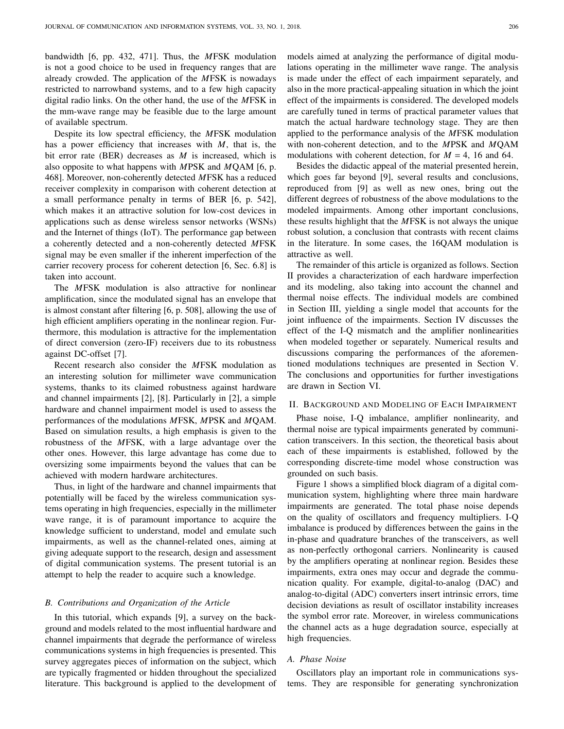bandwidth [6, pp. 432, 471]. Thus, the *M*FSK modulation is not a good choice to be used in frequency ranges that are already crowded. The application of the *M*FSK is nowadays restricted to narrowband systems, and to a few high capacity digital radio links. On the other hand, the use of the *M*FSK in the mm-wave range may be feasible due to the large amount of available spectrum.

Despite its low spectral efficiency, the *M*FSK modulation has a power efficiency that increases with *M*, that is, the bit error rate (BER) decreases as *M* is increased, which is also opposite to what happens with *M*PSK and *M*QAM [6, p. 468]. Moreover, non-coherently detected *M*FSK has a reduced receiver complexity in comparison with coherent detection at a small performance penalty in terms of BER [6, p. 542], which makes it an attractive solution for low-cost devices in applications such as dense wireless sensor networks (WSNs) and the Internet of things (IoT). The performance gap between a coherently detected and a non-coherently detected *M*FSK signal may be even smaller if the inherent imperfection of the carrier recovery process for coherent detection [6, Sec. 6.8] is taken into account.

The *M*FSK modulation is also attractive for nonlinear amplification, since the modulated signal has an envelope that is almost constant after filtering [6, p. 508], allowing the use of high efficient amplifiers operating in the nonlinear region. Furthermore, this modulation is attractive for the implementation of direct conversion (zero-IF) receivers due to its robustness against DC-offset [7].

Recent research also consider the *M*FSK modulation as an interesting solution for millimeter wave communication systems, thanks to its claimed robustness against hardware and channel impairments [2], [8]. Particularly in [2], a simple hardware and channel impairment model is used to assess the performances of the modulations *M*FSK, *M*PSK and *M*QAM. Based on simulation results, a high emphasis is given to the robustness of the *M*FSK, with a large advantage over the other ones. However, this large advantage has come due to oversizing some impairments beyond the values that can be achieved with modern hardware architectures.

Thus, in light of the hardware and channel impairments that potentially will be faced by the wireless communication systems operating in high frequencies, especially in the millimeter wave range, it is of paramount importance to acquire the knowledge sufficient to understand, model and emulate such impairments, as well as the channel-related ones, aiming at giving adequate support to the research, design and assessment of digital communication systems. The present tutorial is an attempt to help the reader to acquire such a knowledge.

### *B. Contributions and Organization of the Article*

In this tutorial, which expands [9], a survey on the background and models related to the most influential hardware and channel impairments that degrade the performance of wireless communications systems in high frequencies is presented. This survey aggregates pieces of information on the subject, which are typically fragmented or hidden throughout the specialized literature. This background is applied to the development of models aimed at analyzing the performance of digital modulations operating in the millimeter wave range. The analysis is made under the effect of each impairment separately, and also in the more practical-appealing situation in which the joint effect of the impairments is considered. The developed models are carefully tuned in terms of practical parameter values that match the actual hardware technology stage. They are then applied to the performance analysis of the *M*FSK modulation with non-coherent detection, and to the *M*PSK and *M*QAM modulations with coherent detection, for  $M = 4$ , 16 and 64.

Besides the didactic appeal of the material presented herein, which goes far beyond [9], several results and conclusions, reproduced from [9] as well as new ones, bring out the different degrees of robustness of the above modulations to the modeled impairments. Among other important conclusions, these results highlight that the *M*FSK is not always the unique robust solution, a conclusion that contrasts with recent claims in the literature. In some cases, the 16QAM modulation is attractive as well.

The remainder of this article is organized as follows. Section II provides a characterization of each hardware imperfection and its modeling, also taking into account the channel and thermal noise effects. The individual models are combined in Section III, yielding a single model that accounts for the joint influence of the impairments. Section IV discusses the effect of the I-Q mismatch and the amplifier nonlinearities when modeled together or separately. Numerical results and discussions comparing the performances of the aforementioned modulations techniques are presented in Section V. The conclusions and opportunities for further investigations are drawn in Section VI.

### II. BACKGROUND AND MODELING OF EACH IMPAIRMENT

Phase noise, I-Q imbalance, amplifier nonlinearity, and thermal noise are typical impairments generated by communication transceivers. In this section, the theoretical basis about each of these impairments is established, followed by the corresponding discrete-time model whose construction was grounded on such basis.

Figure 1 shows a simplified block diagram of a digital communication system, highlighting where three main hardware impairments are generated. The total phase noise depends on the quality of oscillators and frequency multipliers. I-Q imbalance is produced by differences between the gains in the in-phase and quadrature branches of the transceivers, as well as non-perfectly orthogonal carriers. Nonlinearity is caused by the amplifiers operating at nonlinear region. Besides these impairments, extra ones may occur and degrade the communication quality. For example, digital-to-analog (DAC) and analog-to-digital (ADC) converters insert intrinsic errors, time decision deviations as result of oscillator instability increases the symbol error rate. Moreover, in wireless communications the channel acts as a huge degradation source, especially at high frequencies.

### *A. Phase Noise*

Oscillators play an important role in communications systems. They are responsible for generating synchronization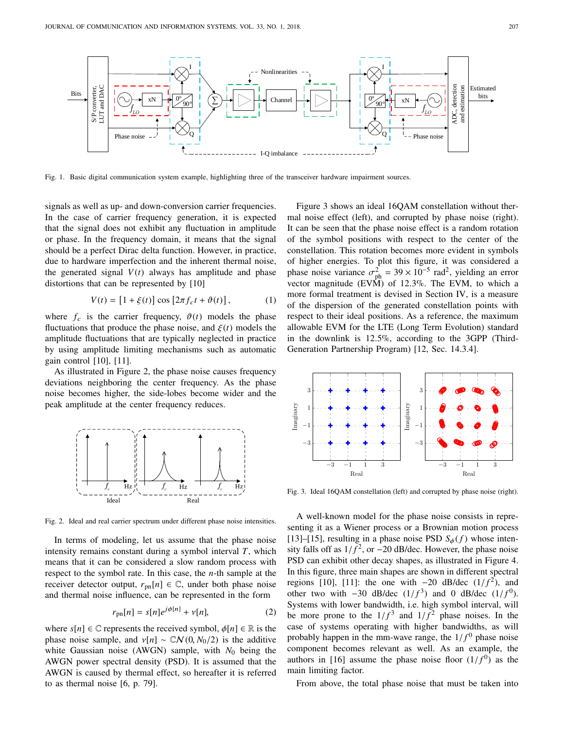

Fig. 1. Basic digital communication system example, highlighting three of the transceiver hardware impairment sources.

signals as well as up- and down-conversion carrier frequencies. In the case of carrier frequency generation, it is expected that the signal does not exhibit any fluctuation in amplitude or phase. In the frequency domain, it means that the signal should be a perfect Dirac delta function. However, in practice, due to hardware imperfection and the inherent thermal noise, the generated signal  $V(t)$  always has amplitude and phase distortions that can be represented by [10]

$$
V(t) = [1 + \xi(t)] \cos [2\pi f_c t + \vartheta(t)], \qquad (1)
$$

where  $f_c$  is the carrier frequency,  $\vartheta(t)$  models the phase fluctuations that produce the phase noise, and  $\xi(t)$  models the amplitude fluctuations that are typically neglected in practice by using amplitude limiting mechanisms such as automatic gain control [10], [11].

As illustrated in Figure 2, the phase noise causes frequency deviations neighboring the center frequency. As the phase noise becomes higher, the side-lobes become wider and the peak amplitude at the center frequency reduces.



Fig. 2. Ideal and real carrier spectrum under different phase noise intensities.

In terms of modeling, let us assume that the phase noise intensity remains constant during a symbol interval *T*, which means that it can be considered a slow random process with respect to the symbol rate. In this case, the *n*-th sample at the receiver detector output,  $r_{pn}[n] \in \mathbb{C}$ , under both phase noise and thermal noise influence, can be represented in the form

$$
r_{\rm pn}[n] = s[n]e^{j\phi[n]} + v[n],\tag{2}
$$

where  $s[n] \in \mathbb{C}$  represents the received symbol,  $\phi[n] \in \mathbb{R}$  is the phase noise sample, and  $v[n] \sim \mathbb{C} \mathcal{N}(0, N_0/2)$  is the additive white Gaussian noise (AWGN) sample, with  $N_0$  being the AWGN power spectral density (PSD). It is assumed that the AWGN is caused by thermal effect, so hereafter it is referred to as thermal noise [6, p. 79].

Figure 3 shows an ideal 16QAM constellation without thermal noise effect (left), and corrupted by phase noise (right). It can be seen that the phase noise effect is a random rotation of the symbol positions with respect to the center of the constellation. This rotation becomes more evident in symbols of higher energies. To plot this figure, it was considered a phase noise variance  $\sigma_{ph}^2 = 39 \times 10^{-5}$  rad<sup>2</sup>, yielding an error<br>vector magnitude (EVM) of 12.3%. The EVM to which a vector magnitude (EVM) of <sup>12</sup>.3%. The EVM, to which a more formal treatment is devised in Section IV, is a measure of the dispersion of the generated constellation points with respect to their ideal positions. As a reference, the maximum allowable EVM for the LTE (Long Term Evolution) standard in the downlink is <sup>12</sup>.5%, according to the 3GPP (Third-Generation Partnership Program) [12, Sec. 14.3.4].



Fig. 3. Ideal 16QAM constellation (left) and corrupted by phase noise (right).

A well-known model for the phase noise consists in representing it as a Wiener process or a Brownian motion process [13]–[15], resulting in a phase noise PSD  $S_{\phi}(f)$  whose intensity falls off as  $1/f^2$ , or  $-20$  dB/dec. However, the phase noise<br>PSD can exhibit other decay shapes, as illustrated in Figure 4. PSD can exhibit other decay shapes, as illustrated in Figure 4. In this figure, three main shapes are shown in different spectral regions [10], [11]: the one with  $-20$  dB/dec  $(1/f^2)$ , and<br>other two with  $-30$  dB/dec  $(1/f^3)$  and 0 dB/dec  $(1/f^0)$ other two with  $-30$  dB/dec  $(1/f^3)$  and 0 dB/dec  $(1/f^0)$ .<br>Systems with lower bandwidth i.e. high symbol interval will Systems with lower bandwidth, i.e. high symbol interval, will be more prone to the  $1/f^3$  and  $1/f^2$  phase noises. In the case of systems operating with higher bandwidths, as will probably happen in the mm-wave range, the  $1/f<sup>0</sup>$  phase noise<br>component becomes relevant as well. As an example, the component becomes relevant as well. As an example, the authors in [16] assume the phase noise floor  $(1/f^0)$  as the main limiting factor main limiting factor.

From above, the total phase noise that must be taken into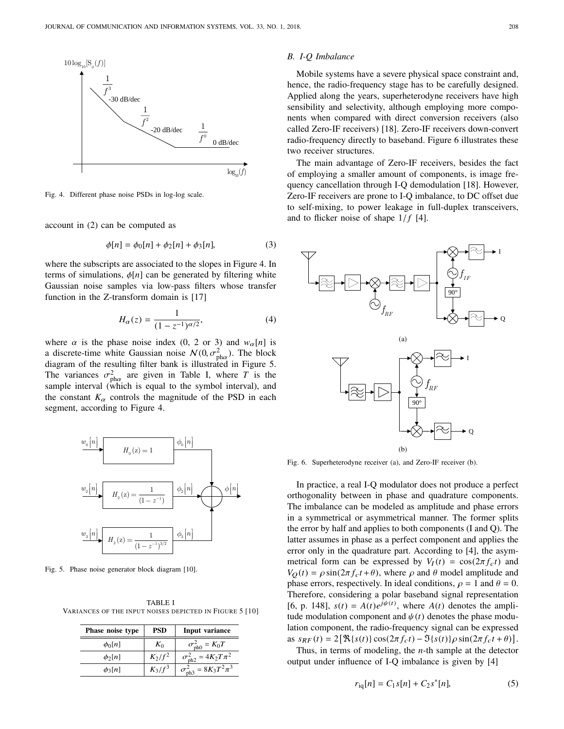

Fig. 4. Different phase noise PSDs in log-log scale.

account in (2) can be computed as

$$
\phi[n] = \phi_0[n] + \phi_2[n] + \phi_3[n],\tag{3}
$$

where the subscripts are associated to the slopes in Figure 4. In terms of simulations,  $\phi[n]$  can be generated by filtering white Gaussian noise samples via low-pass filters whose transfer function in the Z-transform domain is [17]

$$
H_{\alpha}(z) = \frac{1}{(1 - z^{-1})^{\alpha/2}},\tag{4}
$$

where  $\alpha$  is the phase noise index (0, 2 or 3) and  $w_{\alpha}[n]$  is a discrete-time white Gaussian noise  $N(0, \sigma_{\text{ph}\alpha}^2)$ . The block<br>diagram of the resulting filter bank is illustrated in Figure 5. diagram of the resulting filter bank is illustrated in Figure 5. The variances  $\sigma_{\text{ph}}^2$  are given in Table I, where *T* is the sample interval (which is equal to the symbol interval) and sample interval (which is equal to the symbol interval), and the constant  $K_{\alpha}$  controls the magnitude of the PSD in each



Fig. 5. Phase noise generator block diagram [10].

TABLE I VARIANCES OF THE INPUT NOISES DEPICTED IN FIGURE 5 [10]

| Phase noise type | <b>PSD</b> | Input variance                       |
|------------------|------------|--------------------------------------|
| $\phi_0 n $      | $K_0$      | $\sigma_{\text{ph0}}^2 = K_0 T$      |
| $\phi_2[n]$      | $K_2/f^2$  | $\sigma_{\text{ph2}}^2 = 4K_2T\pi^2$ |
| $\phi_3[n]$      | $K_3/f^3$  | $\sigma_{\rm ph3}^2 = 8K_3T^2\pi^3$  |

### *B. I-Q Imbalance*

Mobile systems have a severe physical space constraint and, hence, the radio-frequency stage has to be carefully designed. Applied along the years, superheterodyne receivers have high sensibility and selectivity, although employing more components when compared with direct conversion receivers (also called Zero-IF receivers) [18]. Zero-IF receivers down-convert radio-frequency directly to baseband. Figure 6 illustrates these two receiver structures.

 $log_{10}(f)$  of employing a smaller amount of components, is image fre-The main advantage of Zero-IF receivers, besides the fact quency cancellation through I-Q demodulation [18]. However, Zero-IF receivers are prone to I-Q imbalance, to DC offset due to self-mixing, to power leakage in full-duplex transceivers, and to flicker noise of shape  $1/f$  [4].



Fig. 6. Superheterodyne receiver (a), and Zero-IF receiver (b).

In practice, a real I-Q modulator does not produce a perfect orthogonality between in phase and quadrature components. The imbalance can be modeled as amplitude and phase errors in a symmetrical or asymmetrical manner. The former splits the error by half and applies to both components (I and Q). The latter assumes in phase as a perfect component and applies the error only in the quadrature part. According to [4], the asymmetrical form can be expressed by  $V_I(t) = \cos(2\pi f_c t)$  and  $V_O(t) = \rho \sin(2\pi f_c t + \theta)$ , where  $\rho$  and  $\theta$  model amplitude and phase errors, respectively. In ideal conditions,  $\rho = 1$  and  $\theta = 0$ . Therefore, considering a polar baseband signal representation [6, p. 148],  $s(t) = A(t)e^{j\psi(t)}$ , where  $A(t)$  denotes the amplitude modulation component and  $\psi(t)$  denotes the phase modulation component, the radio-frequency signal can be expressed as  $s_{RF}(t) = 2[\Re\{s(t)\}\cos(2\pi f_c t) - \Im\{s(t)\}\rho\sin(2\pi f_c t + \theta)].$ <br>Thus in terms of modeling, the *n* th semple at the detector

Thus, in terms of modeling, the *n*-th sample at the detector output under influence of I-Q imbalance is given by [4]

$$
r_{\rm iq}[n] = C_1 s[n] + C_2 s^*[n],\tag{5}
$$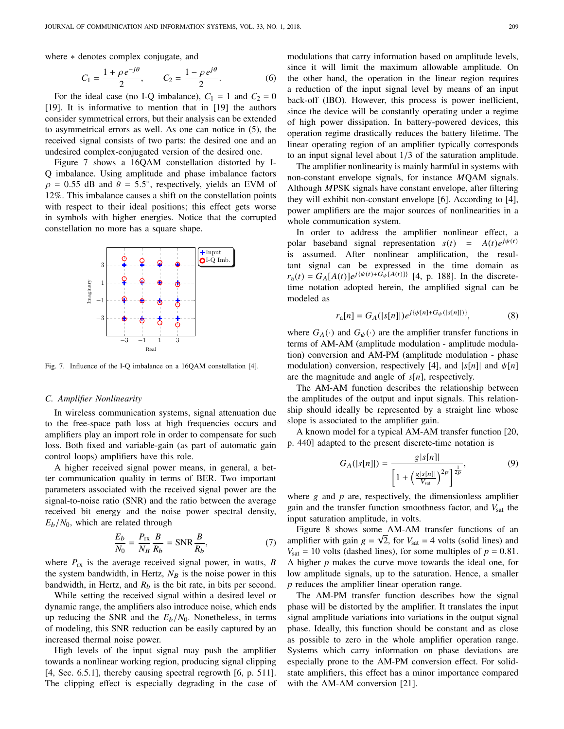where  $*$  denotes complex conjugate, and

$$
C_1 = \frac{1 + \rho e^{-j\theta}}{2}, \qquad C_2 = \frac{1 - \rho e^{j\theta}}{2}.
$$
 (6)

For the ideal case (no I-Q imbalance),  $C_1 = 1$  and  $C_2 = 0$ [19]. It is informative to mention that in [19] the authors consider symmetrical errors, but their analysis can be extended to asymmetrical errors as well. As one can notice in (5), the received signal consists of two parts: the desired one and an undesired complex-conjugated version of the desired one.

Figure 7 shows a 16QAM constellation distorted by I-Q imbalance. Using amplitude and phase imbalance factors  $\rho = 0.55$  dB and  $\theta = 5.5^{\circ}$ , respectively, yields an EVM of 12%. This imbalance causes a shift on the constellation points 12%. This imbalance causes a shift on the constellation points with respect to their ideal positions; this effect gets worse in symbols with higher energies. Notice that the corrupted constellation no more has a square shape.



Fig. 7. Influence of the I-Q imbalance on a 16QAM constellation [4].

### *C. Amplifier Nonlinearity*

In wireless communication systems, signal attenuation due to the free-space path loss at high frequencies occurs and amplifiers play an import role in order to compensate for such loss. Both fixed and variable-gain (as part of automatic gain control loops) amplifiers have this role.

A higher received signal power means, in general, a better communication quality in terms of BER. Two important parameters associated with the received signal power are the signal-to-noise ratio (SNR) and the ratio between the average received bit energy and the noise power spectral density, *<sup>E</sup>*b/*N*0, which are related through

$$
\frac{E_b}{N_0} = \frac{P_{\text{rx}}}{N_B} \frac{B}{R_b} = \text{SNR} \frac{B}{R_b},\tag{7}
$$

where  $P_{rx}$  is the average received signal power, in watts, *B* the system bandwidth, in Hertz,  $N_B$  is the noise power in this bandwidth, in Hertz, and  $R_b$  is the bit rate, in bits per second.

While setting the received signal within a desired level or dynamic range, the amplifiers also introduce noise, which ends up reducing the SNR and the *<sup>E</sup>*b/*N*0. Nonetheless, in terms of modeling, this SNR reduction can be easily captured by an increased thermal noise power.

High levels of the input signal may push the amplifier towards a nonlinear working region, producing signal clipping [4, Sec. 6.5.1], thereby causing spectral regrowth [6, p. 511]. The clipping effect is especially degrading in the case of modulations that carry information based on amplitude levels, since it will limit the maximum allowable amplitude. On the other hand, the operation in the linear region requires a reduction of the input signal level by means of an input back-off (IBO). However, this process is power inefficient, since the device will be constantly operating under a regime of high power dissipation. In battery-powered devices, this operation regime drastically reduces the battery lifetime. The linear operating region of an amplifier typically corresponds to an input signal level about <sup>1</sup>/<sup>3</sup> of the saturation amplitude.

The amplifier nonlinearity is mainly harmful in systems with non-constant envelope signals, for instance *M*QAM signals. Although *M*PSK signals have constant envelope, after filtering they will exhibit non-constant envelope [6]. According to [4], power amplifiers are the major sources of nonlinearities in a whole communication system.

In order to address the amplifier nonlinear effect, a polar baseband signal representation  $s(t) = A(t)e^{j\psi(t)}$ is assumed. After nonlinear amplification, the resultant signal can be expressed in the time domain as  $r_a(t) = G_A[A(t)]e^{j\{\psi(t)+G_{\psi}[A(t)]\}}$  [4, p. 188]. In the discretetime notation adopted herein, the amplified signal can be modeled as

$$
r_{\rm a}[n] = G_A(|s[n]|)e^{j\{\psi[n]+G_{\psi}(|s[n]|)\}},\tag{8}
$$

where  $G_A(\cdot)$  and  $G_{\psi}(\cdot)$  are the amplifier transfer functions in terms of AM-AM (amplitude modulation - amplitude modulation) conversion and AM-PM (amplitude modulation - phase modulation) conversion, respectively [4], and  $|s[n]|$  and  $\psi[n]$ are the magnitude and angle of *s*[*n*], respectively.

The AM-AM function describes the relationship between the amplitudes of the output and input signals. This relationship should ideally be represented by a straight line whose slope is associated to the amplifier gain.

A known model for a typical AM-AM transfer function [20, p. 440] adapted to the present discrete-time notation is

$$
G_A(|s[n]|) = \frac{g|s[n]|}{\left[1 + \left(\frac{g|s[n]|}{V_{\text{sat}}}\right)^{2p}\right]^{\frac{1}{2p}}},\tag{9}
$$

where  $g$  and  $p$  are, respectively, the dimensionless amplifier gain and the transfer function smoothness factor, and *V*sat the input saturation amplitude, in volts.

Figure 8 shows some  $AM$ -AM transfer functions of an amplifier with gain  $g = \sqrt{2}$ , for  $V_{\text{sat}} = 4$  volts (solid lines) and  $V_{\text{sat}} = 10$  volts (dashed lines), for some multiples of  $p = 0.81$ . A higher *p* makes the curve move towards the ideal one, for low amplitude signals, up to the saturation. Hence, a smaller *p* reduces the amplifier linear operation range.

The AM-PM transfer function describes how the signal phase will be distorted by the amplifier. It translates the input signal amplitude variations into variations in the output signal phase. Ideally, this function should be constant and as close as possible to zero in the whole amplifier operation range. Systems which carry information on phase deviations are especially prone to the AM-PM conversion effect. For solidstate amplifiers, this effect has a minor importance compared with the AM-AM conversion [21].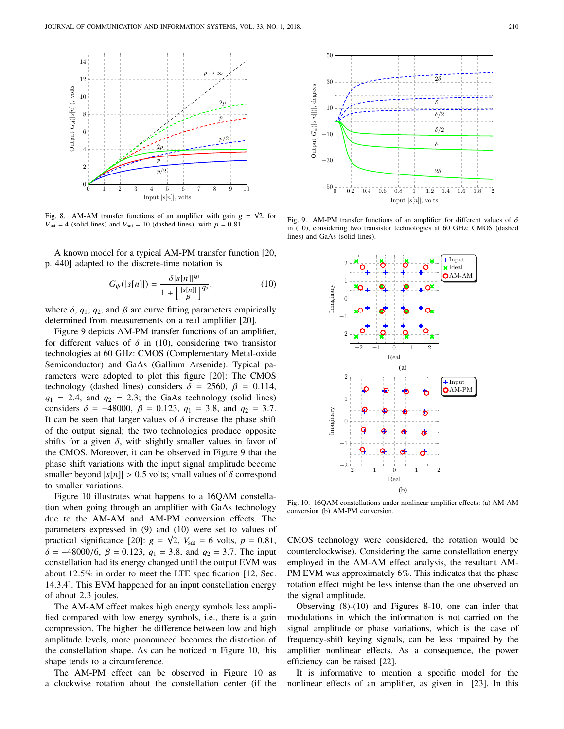

Fig. 8. AM-AM transfer functions of an amplifier with gain  $g = \sqrt{2}$ , for  $V_{\text{sat}} = 4$  (solid lines) and  $V_{\text{sat}} = 10$  (dashed lines), with  $p = 0.81$ .

A known model for a typical AM-PM transfer function [20, p. 440] adapted to the discrete-time notation is

$$
G_{\psi}(|s[n]|) = \frac{\delta |s[n]|^{q_1}}{1 + \left[\frac{|s[n]|}{\beta}\right]^{q_2}},\tag{10}
$$

where  $\delta$ ,  $q_1$ ,  $q_2$ , and  $\beta$  are curve fitting parameters empirically determined from measurements on a real amplifier [20] determined from measurements on a real amplifier [20].

Figure 9 depicts AM-PM transfer functions of an amplifier, for different values of  $\delta$  in (10), considering two transistor technologies at 60 GHz: CMOS (Complementary Metal-oxide Semiconductor) and GaAs (Gallium Arsenide). Typical parameters were adopted to plot this figure [20]: The CMOS technology (dashed lines) considers  $\delta = 2560$ ,  $\beta = 0.114$ ,  $q_1$  = 2.4, and  $q_2$  = 2.3; the GaAs technology (solid lines) considers  $\delta = -48000$ ,  $\beta = 0.123$ ,  $q_1 = 3.8$ , and  $q_2 = 3.7$ . It can be seen that larger values of  $\delta$  increase the phase shift of the output signal; the two technologies produce opposite shifts for a given  $\delta$ , with slightly smaller values in favor of the CMOS. Moreover, it can be observed in Figure 9 that the phase shift variations with the input signal amplitude become smaller beyond  $|s[n]| > 0.5$  volts; small values of  $\delta$  correspond to smaller variations.

Figure 10 illustrates what happens to a 16QAM constellation when going through an amplifier with GaAs technology due to the AM-AM and AM-PM conversion effects. The parameters expressed in (9) and  $(10)$  were set to values of practical significance [20]:  $g = \sqrt{2}$ ,  $V_{\text{sat}} = 6$  volts,  $p = 0.81$ ,<br> $\delta = -48000/6$ ,  $\beta = 0.123$ ,  $g_1 = 3.8$ , and  $g_2 = 3.7$ . The input  $\delta = -48000/6$ ,  $\beta = 0.123$ ,  $q_1 = 3.8$ , and  $q_2 = 3.7$ . The input constellation had its energy changed until the output EVM was about <sup>12</sup>.5% in order to meet the LTE specification [12, Sec. 14.3.4]. This EVM happened for an input constellation energy of about <sup>2</sup>.<sup>3</sup> joules.

The AM-AM effect makes high energy symbols less amplified compared with low energy symbols, i.e., there is a gain compression. The higher the difference between low and high amplitude levels, more pronounced becomes the distortion of the constellation shape. As can be noticed in Figure 10, this shape tends to a circumference.

The AM-PM effect can be observed in Figure 10 as a clockwise rotation about the constellation center (if the



Fig. 9. AM-PM transfer functions of an amplifier, for different values of  $\delta$ in (10), considering two transistor technologies at 60 GHz: CMOS (dashed lines) and GaAs (solid lines).



Fig. 10. 16QAM constellations under nonlinear amplifier effects: (a) AM-AM conversion (b) AM-PM conversion.

CMOS technology were considered, the rotation would be counterclockwise). Considering the same constellation energy employed in the AM-AM effect analysis, the resultant AM-PM EVM was approximately 6%. This indicates that the phase rotation effect might be less intense than the one observed on the signal amplitude.

Observing (8)-(10) and Figures 8-10, one can infer that modulations in which the information is not carried on the signal amplitude or phase variations, which is the case of frequency-shift keying signals, can be less impaired by the amplifier nonlinear effects. As a consequence, the power efficiency can be raised [22].

It is informative to mention a specific model for the nonlinear effects of an amplifier, as given in [23]. In this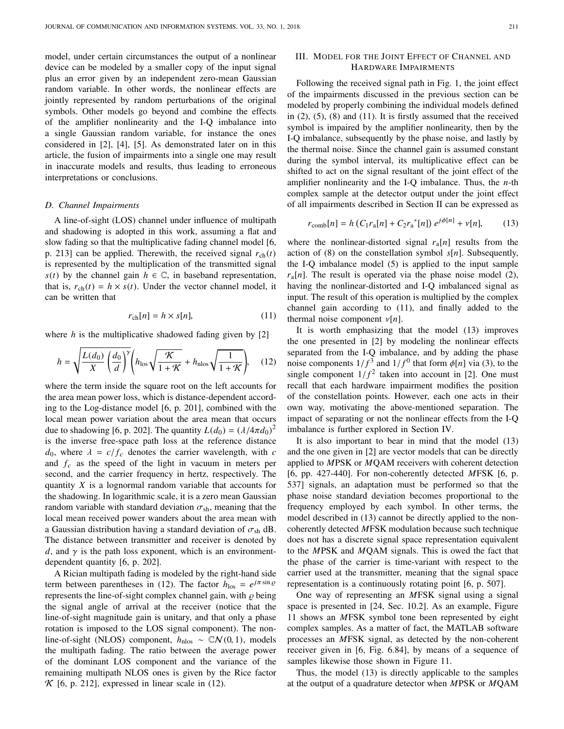model, under certain circumstances the output of a nonlinear device can be modeled by a smaller copy of the input signal plus an error given by an independent zero-mean Gaussian random variable. In other words, the nonlinear effects are jointly represented by random perturbations of the original symbols. Other models go beyond and combine the effects of the amplifier nonlinearity and the I-Q imbalance into a single Gaussian random variable, for instance the ones considered in [2], [4], [5]. As demonstrated later on in this article, the fusion of impairments into a single one may result in inaccurate models and results, thus leading to erroneous interpretations or conclusions.

### *D. Channel Impairments*

A line-of-sight (LOS) channel under influence of multipath and shadowing is adopted in this work, assuming a flat and slow fading so that the multiplicative fading channel model [6, p. 213] can be applied. Therewith, the received signal  $r_{ch}(t)$ is represented by the multiplication of the transmitted signal  $s(t)$  by the channel gain  $h \in \mathbb{C}$ , in baseband representation, that is,  $r_{ch}(t) = h \times s(t)$ . Under the vector channel model, it can be written that

$$
r_{\rm ch}[n] = h \times s[n],\tag{11}
$$

where *h* is the multiplicative shadowed fading given by [2]

$$
h = \sqrt{\frac{L(d_0)}{X} \left(\frac{d_0}{d}\right)^{\gamma}} \left(h_{\text{los}} \sqrt{\frac{\mathcal{K}}{1 + \mathcal{K}}} + h_{\text{nlos}} \sqrt{\frac{1}{1 + \mathcal{K}}}\right), \quad (12)
$$

where the term inside the square root on the left accounts for the area mean power loss, which is distance-dependent according to the Log-distance model [6, p. 201], combined with the local mean power variation about the area mean that occurs due to shadowing [6, p. 202]. The quantity  $L(d_0) = (\lambda/4\pi d_0)^2$ <br>is the inverse free-space path loss at the reference distance is the inverse free-space path loss at the reference distance  $d_0$ , where  $\lambda = c/f_c$  denotes the carrier wavelength, with *c* and  $f_c$  as the speed of the light in vacuum in meters per second, and the carrier frequency in hertz, respectively. The quantity *X* is a lognormal random variable that accounts for the shadowing. In logarithmic scale, it is a zero mean Gaussian random variable with standard deviation  $\sigma_{sh}$ , meaning that the local mean received power wanders about the area mean with a Gaussian distribution having a standard deviation of  $\sigma_{sh}$  dB. The distance between transmitter and receiver is denoted by *d*, and  $\gamma$  is the path loss exponent, which is an environmentdependent quantity [6, p. 202].

A Rician multipath fading is modeled by the right-hand side term between parentheses in (12). The factor  $h_{\text{los}} = e^{j\pi \sin \varrho}$ represents the line-of-sight complex channel gain, with  $\rho$  being the signal angle of arrival at the receiver (notice that the line-of-sight magnitude gain is unitary, and that only a phase rotation is imposed to the LOS signal component). The nonline-of-sight (NLOS) component, *h*<sub>nlos</sub> ~ CN(0,1), models the multipath fading. The ratio between the average power of the dominant LOS component and the variance of the remaining multipath NLOS ones is given by the Rice factor  $K$  [6, p. 212], expressed in linear scale in (12).

### III. MODEL FOR THE JOINT EFFECT OF CHANNEL AND HARDWARE IMPAIRMENTS

Following the received signal path in Fig. 1, the joint effect of the impairments discussed in the previous section can be modeled by properly combining the individual models defined in  $(2)$ ,  $(5)$ ,  $(8)$  and  $(11)$ . It is firstly assumed that the received symbol is impaired by the amplifier nonlinearity, then by the I-Q imbalance, subsequently by the phase noise, and lastly by the thermal noise. Since the channel gain is assumed constant during the symbol interval, its multiplicative effect can be shifted to act on the signal resultant of the joint effect of the amplifier nonlinearity and the I-Q imbalance. Thus, the *n*-th complex sample at the detector output under the joint effect of all impairments described in Section II can be expressed as

$$
r_{\text{comb}}[n] = h \left( C_1 r_a[n] + C_2 r_a^*[n] \right) e^{j\phi[n]} + v[n], \tag{13}
$$

where the nonlinear-distorted signal  $r_a[n]$  results from the action of (8) on the constellation symbol *s*[*n*]. Subsequently, the I-Q imbalance model (5) is applied to the input sample  $r_a[n]$ . The result is operated via the phase noise model (2), having the nonlinear-distorted and I-Q imbalanced signal as input. The result of this operation is multiplied by the complex channel gain according to (11), and finally added to the thermal noise component  $\nu[n]$ .

It is worth emphasizing that the model (13) improves the one presented in [2] by modeling the nonlinear effects separated from the I-Q imbalance, and by adding the phase noise components  $1/f^3$  and  $1/f^0$  that form  $\phi[n]$  via (3), to the single component  $1/f^2$  taken into account in [2]. One must single component  $1/f^2$  taken into account in [2]. One must<br>recall that each hardware impairment modifies the position recall that each hardware impairment modifies the position of the constellation points. However, each one acts in their own way, motivating the above-mentioned separation. The impact of separating or not the nonlinear effects from the I-Q imbalance is further explored in Section IV.

It is also important to bear in mind that the model (13) and the one given in [2] are vector models that can be directly applied to *M*PSK or *M*QAM receivers with coherent detection [6, pp. 427-440]. For non-coherently detected *M*FSK [6, p. 537] signals, an adaptation must be performed so that the phase noise standard deviation becomes proportional to the frequency employed by each symbol. In other terms, the model described in (13) cannot be directly applied to the noncoherently detected *M*FSK modulation because such technique does not has a discrete signal space representation equivalent to the *M*PSK and *M*QAM signals. This is owed the fact that the phase of the carrier is time-variant with respect to the carrier used at the transmitter, meaning that the signal space representation is a continuously rotating point [6, p. 507].

One way of representing an *M*FSK signal using a signal space is presented in [24, Sec. 10.2]. As an example, Figure 11 shows an *M*FSK symbol tone been represented by eight complex samples. As a matter of fact, the MATLAB software processes an *M*FSK signal, as detected by the non-coherent receiver given in [6, Fig. 6.84], by means of a sequence of samples likewise those shown in Figure 11.

Thus, the model (13) is directly applicable to the samples at the output of a quadrature detector when *M*PSK or *M*QAM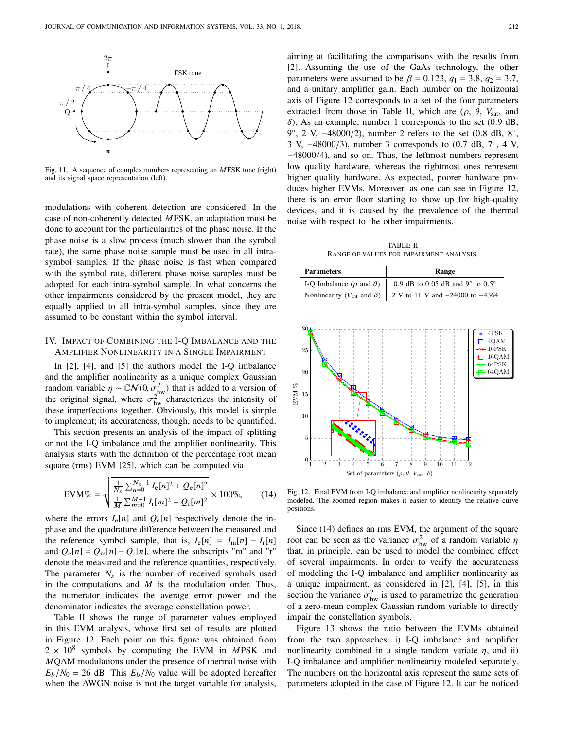

Fig. 11. A sequence of complex numbers representing an MFSK tone (right)<br>and its signal space representation (left). and its signal space representation (left).

modulations with coherent detection are considered. In the case of non-coherently detected *M*FSK, an adaptation must be done to account for the particularities of the phase noise. If the phase noise is a slow process (much slower than the symbol rate), the same phase noise sample must be used in all intra-<br>symbol samples. If the phase noise is fast when compared symbol samples. If the phase noise is fast when compared with the symbol rate, different phase noise samples must be adopted for each intra-symbol sample. In what concerns the other impairments considered by the present model, they are equally applied to all intra-symbol samples, since they are assumed to be constant within the symbol interval.

## IV. IMPACT OF COMBINING THE I-Q IMBALANCE AND THE<br>AMPLIFIER NONLINEARITY IN A SINGLE IMPAIRMENT AMPLIFIER NONLINEARITY IN A SINGLE IMPAIRMENT

In [2], [4], and [5] the authors model the I-Q imbalance and the amplifier nonlinearity as a unique complex Gaussian random variable  $\eta \sim \mathbb{C}N(0, \sigma_{\text{hw}}^2)$  that is added to a version of the original signal, where  $\sigma_{hw}^{2}$  characterizes the intensity of these imperfections together Obviously this model is simple these imperfections together. Obviously, this model is simple to implement; its accurateness, though, needs to be quantified.

implement; its accurateness, though, needs to be quantified.<br>This section presents an analysis of the impact of splitting<br>not the LO imbelence and the amplifier poplinearity. This or not the I-Q imbalance and the amplifier nonlinearity. This analysis starts with the definition of the percentage root mean square (rms) EVM [25], which can be computed via ariable<br>
ial sign<br>
erfectic<br>
hent; its<br>
ction p<br>
is I-Q in<br>
tarts wi<br>
ms) EV

$$
\text{EVM}\% = \sqrt{\frac{\frac{1}{N_s} \sum_{n=0}^{N_s - 1} I_e[n]^2 + Q_e[n]^2}{\frac{1}{M} \sum_{m=0}^{M - 1} I_r[m]^2 + Q_r[m]^2}} \times 100\%,\tag{14}
$$

where the errors  $I_e[n]$  and  $Q_e[n]$  respectively denote the in-<br>phase and the quadrature difference between the measured and phase and the quadrature difference between the measured and the reference symbol sample, that is,  $I_e[n] = I_m[n] - I_r[n]$ and  $Q_e[n] = Q_m[n] - Q_r[n]$ , where the subscripts "m" and "r" denote the measured and the reference quantities, respectively. The parameter  $N_s$  is the number of received symbols used in the computations and *M* is the modulation order. Thus, the numerator indicates the average error power and the the numerator indicates the average error power a<br>denominator indicates the average constellation power.<br>Table II shows the range of parameter values em

Table II shows the range of parameter values employed in this EVM analysis, whose first set of results are plotted in Figure 12. Each point on this figure was obtained from  $2 \times 10^8$  symbols by computing the EVM in MPSK and *M*QAM modulations under the presence of thermal noise with  $E_b/N_0 = 26$  dB. This  $E_b/N_0$  value will be adopted hereafter when the AWGN noise is not the target variable for analysis, aiming at facilitating the comparisons with the results from [2]. Assuming the use of the GaAs technology, the other parameters were assumed to be  $β = 0.123$ ,  $q_1 = 3.8$ ,  $q_2 = 3.7$ , and a unitary amplifier gain. Each number on the horizontal axis of Figure 12 corresponds to a set of the four parameters extracted from those in Table II, which are  $(\rho, \theta, V_{\text{sat}})$ , and  $\delta$ ). As an example, number 1 corresponds to the set (0.9 dB, 9°, 2 V,  $-48000/2$ ), number 2 refers to the set  $(0.8 \text{ dB}, 8^\circ, 3)$ <br>3 V  $-48000/3$ ), number 3 corresponds to  $(0.7 \text{ dB}, 7^\circ, 4)$ 3 V,  $-48000/3$ ), number 3 corresponds to  $(0.7 \text{ dB}, 7^{\circ}, 4 \text{ V})$ ,  $-48000/4$ ) and so on Thus the leftmost numbers represent <sup>−</sup>48000/4), and so on. Thus, the leftmost numbers represent low quality hardware, whereas the rightmost ones represent higher quality hardware. As expected, poorer hardware produces higher EVMs. Moreover, as one can see in Figure 12, there is an error floor starting to show up for high-quality devices, and it is caused by the prevalence of the thermal noise with respect to the other impairments.

TABLE II RANGE OF VALUES FOR IMPAIRMENT ANALYSIS.

|                 | <b>Parameters</b>                              | Range                                     |
|-----------------|------------------------------------------------|-------------------------------------------|
|                 | I-Q Imbalance ( $\rho$ and $\theta$ )          | 0.9 dB to 0.05 dB and $9^{\circ}$ to 0.5° |
|                 | Nonlinearity ( $V_{\text{sat}}$ and $\delta$ ) | 2 V to 11 V and -24000 to -4364           |
|                 |                                                |                                           |
|                 | 30.<br>25                                      | * 4PSK<br>$-\cdot 4QAM$<br>$*$ 16PSK      |
|                 | 20                                             | $\exists$ 16QAM<br>$-64$ PSK<br>$-64QAM$  |
| R<br><b>EVM</b> | 15                                             |                                           |
|                 | 10                                             |                                           |
|                 | 5                                              |                                           |

Fig. 12. Final EVM from I-Q imbalance and amplifier nonlinearity separately modeled. The zoomed region makes it easier to identify the relative curve positions.

1 2 3 4 5 6 7 8 9 10 11 12

Set of parameters ( $\rho$ ,  $\theta$ ,  $V_{\text{sat}}$ ,  $\delta$ )

 $\boldsymbol{0}$ 

Since (14) defines an rms EVM, the argument of the square root can be seen as the variance  $\sigma_{\text{hw}}^2$  of a random variable  $\eta$ <br>that in principle, can be used to model the combined effect that, in principle, can be used to model the combined effect of several impairments. In order to verify the accurateness of modeling the I-Q imbalance and amplifier nonlinearity as a unique impairment, as considered in [2], [4], [5], in this section the variance  $\sigma_{\text{hw}}^2$  is used to parametrize the generation<br>of a zero-mean complex Gaussian random variable to directly of a zero-mean complex Gaussian random variable to directly impair the constellation symbols.

Figure 13 shows the ratio between the EVMs obtained from the two approaches: i) I-Q imbalance and amplifier nonlinearity combined in a single random variate  $\eta$ , and ii) I-Q imbalance and amplifier nonlinearity modeled separately. The numbers on the horizontal axis represent the same sets of parameters adopted in the case of Figure 12. It can be noticed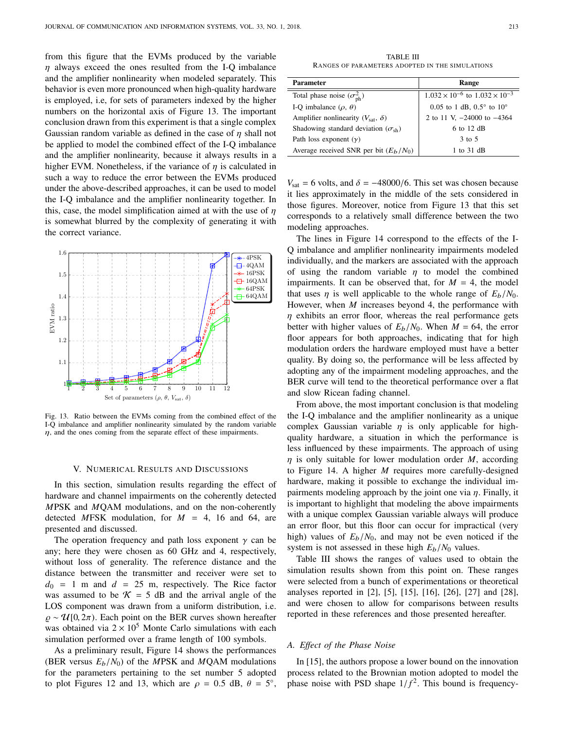from this figure that the EVMs produced by the variable  $\eta$  always exceed the ones resulted from the I-Q imbalance and the amplifier nonlinearity when modeled separately. This behavior is even more pronounced when high-quality hardware is employed, i.e, for sets of parameters indexed by the higher numbers on the horizontal axis of Figure 13. The important conclusion drawn from this experiment is that a single complex Gaussian random variable as defined in the case of  $\eta$  shall not be applied to model the combined effect of the I-Q imbalance and the amplifier nonlinearity, because it always results in a higher EVM. Nonetheless, if the variance of  $\eta$  is calculated in such a way to reduce the error between the EVMs produced under the above-described approaches, it can be used to model the I-Q imbalance and the amplifier nonlinearity together. In this, case, the model simplification aimed at with the use of  $\eta$ is somewhat blurred by the complexity of generating it with the correct variance.



Fig. 13. Ratio between the EVMs coming from the combined effect of the I-Q imbalance and amplifier nonlinearity simulated by the random variable  $\eta$ , and the ones coming from the separate effect of these impairments.

### V. NUMERICAL RESULTS AND DISCUSSIONS

In this section, simulation results regarding the effect of hardware and channel impairments on the coherently detected *M*PSK and *M*QAM modulations, and on the non-coherently detected MFSK modulation, for  $M = 4$ , 16 and 64, are presented and discussed.

The operation frequency and path loss exponent  $\gamma$  can be any; here they were chosen as 60 GHz and 4, respectively, without loss of generality. The reference distance and the distance between the transmitter and receiver were set to  $d_0 = 1$  m and  $d = 25$  m, respectively. The Rice factor was assumed to be  $\mathcal{K} = 5$  dB and the arrival angle of the LOS component was drawn from a uniform distribution, i.e.  $\rho \sim \mathcal{U}[0, 2\pi)$ . Each point on the BER curves shown hereafter was obtained via  $2 \times 10^5$  Monte Carlo simulations with each simulation performed over a frame length of 100 symbols.

As a preliminary result, Figure 14 shows the performances (BER versus  $E_b/N_0$ ) of the *MPSK* and *MQAM* modulations for the parameters pertaining to the set number 5 adopted to plot Figures 12 and 13, which are  $\rho = 0.5$  dB,  $\theta = 5^{\circ}$ ,

TABLE III RANGES OF PARAMETERS ADOPTED IN THE SIMULATIONS

| <b>Parameter</b>                                  | Range                                            |
|---------------------------------------------------|--------------------------------------------------|
| Total phase noise $(\sigma_{\text{ph}}^2)$        | $1.032 \times 10^{-6}$ to $1.032 \times 10^{-3}$ |
| I-O imbalance $(\rho, \theta)$                    | 0.05 to 1 dB, $0.5^{\circ}$ to $10^{\circ}$      |
| Amplifier nonlinearity $(V_{\text{sat}}, \delta)$ | 2 to 11 V, $-24000$ to $-4364$                   |
| Shadowing standard deviation $(\sigma_{sh})$      | 6 to 12 dB                                       |
| Path loss exponent $(y)$                          | 3 to 5                                           |
| Average received SNR per bit $(E_h/N_0)$          | 1 to 31 dB                                       |
|                                                   |                                                  |

 $V_{\text{sat}} = 6$  volts, and  $\delta = -48000/6$ . This set was chosen because it lies approximately in the middle of the sets considered in those figures. Moreover, notice from Figure 13 that this set corresponds to a relatively small difference between the two modeling approaches.

The lines in Figure 14 correspond to the effects of the I-Q imbalance and amplifier nonlinearity impairments modeled individually, and the markers are associated with the approach of using the random variable  $\eta$  to model the combined impairments. It can be observed that, for  $M = 4$ , the model that uses  $\eta$  is well applicable to the whole range of  $E_b/N_0$ . However, when *M* increases beyond 4, the performance with  $\eta$  exhibits an error floor, whereas the real performance gets better with higher values of  $E_b/N_0$ . When  $M = 64$ , the error floor appears for both approaches, indicating that for high modulation orders the hardware employed must have a better quality. By doing so, the performance will be less affected by adopting any of the impairment modeling approaches, and the BER curve will tend to the theoretical performance over a flat and slow Ricean fading channel.

From above, the most important conclusion is that modeling the I-Q imbalance and the amplifier nonlinearity as a unique complex Gaussian variable  $\eta$  is only applicable for highquality hardware, a situation in which the performance is less influenced by these impairments. The approach of using  $\eta$  is only suitable for lower modulation order  $M$ , according to Figure 14. A higher *M* requires more carefully-designed hardware, making it possible to exchange the individual impairments modeling approach by the joint one via  $\eta$ . Finally, it is important to highlight that modeling the above impairments with a unique complex Gaussian variable always will produce an error floor, but this floor can occur for impractical (very high) values of  $E_b/N_0$ , and may not be even noticed if the system is not assessed in these high  $E_b/N_0$  values.

Table III shows the ranges of values used to obtain the simulation results shown from this point on. These ranges were selected from a bunch of experimentations or theoretical analyses reported in [2], [5], [15], [16], [26], [27] and [28], and were chosen to allow for comparisons between results reported in these references and those presented hereafter.

### *A. Effect of the Phase Noise*

In [15], the authors propose a lower bound on the innovation process related to the Brownian motion adopted to model the phase noise with PSD shape  $1/f^2$ . This bound is frequency-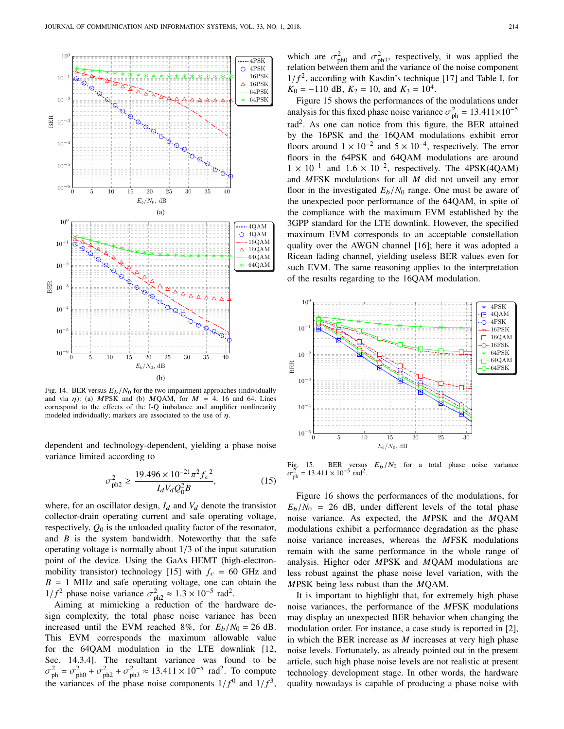

Fig. 14. BER versus  $E_b/N_0$  for the two impairment approaches (individually and via  $\eta$ ): (a) MPSK and (b) MQAM, for  $M = 4$ , 16 and 64. Lines correspond to the effects of the I-Q imbalance and amplifier nonlinearity modeled individually; markers are associated to the use of  $\eta$ .

dependent and technology-dependent, yielding a phase noise variance limited according to

$$
\sigma_{\text{ph2}}^2 \ge \frac{19.496 \times 10^{-21} \pi^2 f_c^2}{I_d V_d Q_0^2 B},\tag{15}
$$

where, for an oscillator design,  $I_d$  and  $V_d$  denote the transistor collector-drain operating current and safe operating voltage, respectively,  $Q_0$  is the unloaded quality factor of the resonator, and *B* is the system bandwidth. Noteworthy that the safe operating voltage is normally about <sup>1</sup>/<sup>3</sup> of the input saturation point of the device. Using the GaAs HEMT (high-electronmobility transistor) technology [15] with  $f_c = 60$  GHz and  $B = 1$  MHz and safe operating voltage, one can obtain the 1/*f*<sup>2</sup> phase noise variance  $\sigma_{ph2}^2 \approx 1.3 \times 10^{-5}$  rad<sup>2</sup>.<br>Aiming at mimicking a reduction of the hair

Aiming at mimicking a reduction of the hardware design complexity, the total phase noise variance has been increased until the EVM reached 8%, for  $E_b/N_0 = 26$  dB. This EVM corresponds the maximum allowable value for the 64QAM modulation in the LTE downlink [12, Sec. 14.3.4]. The resultant variance was found to be ։<br>+1.  $\sigma_{\text{ph}}^2 = \sigma_{\text{ph}}^2 + \sigma_{\text{ph}}^2 + \sigma_{\text{ph}}^2 \approx 13.411 \times 10^{-5} \text{ rad}^2$ . To compute a vertice of the phase pairs comparents  $1/\epsilon^0$  and  $1/\epsilon^3$ the variances of the phase noise components  $1/f^0$  and  $1/f^3$ ,

which are  $\sigma_{ph0}^2$  and  $\sigma_{ph3}^2$ , respectively, it was applied the relation between them and the variance of the noise component relation between them and the variance of the noise component  $1/f^2$ , according with Kasdin's technique [17] and Table I, for  $K_0 = -110$  dB,  $K_2 = 10$  and  $K_3 = 10^4$  $K_0 = -110$  dB,  $K_2 = 10$ , and  $K_3 = 10^4$ .

Figure 15 shows the performances of the modulations under analysis for this fixed phase noise variance  $\sigma_{\text{ph}}^2 = 13.411 \times 10^{-5}$ rad<sup>2</sup>. As one can notice from this figure, the BER attained by the 16PSK and the 16QAM modulations exhibit error floors around  $1 \times 10^{-2}$  and  $5 \times 10^{-4}$ , respectively. The error floors in the 64PSK and 64QAM modulations are around  $1 \times 10^{-1}$  and  $1.6 \times 10^{-2}$ , respectively. The 4PSK(4QAM)<br>and MESK modulations for all *M* did not unveil any error and *M*FSK modulations for all *M* did not unveil any error floor in the investigated  $E_b/N_0$  range. One must be aware of the unexpected poor performance of the 64QAM, in spite of the compliance with the maximum EVM established by the 3GPP standard for the LTE downlink. However, the specified maximum EVM corresponds to an acceptable constellation quality over the AWGN channel [16]; here it was adopted a Ricean fading channel, yielding useless BER values even for such EVM. The same reasoning applies to the interpretation of the results regarding to the 16QAM modulation.



Fig. 15. BER versus  $E_b/N_0$  for a total phase noise variance  $\sigma_{ph}^2 = 13.411 \times 10^{-5}$  rad<sup>2</sup>.

Figure 16 shows the performances of the modulations, for  $E_b/N_0$  = 26 dB, under different levels of the total phase noise variance. As expected, the *M*PSK and the *M*QAM modulations exhibit a performance degradation as the phase noise variance increases, whereas the *M*FSK modulations remain with the same performance in the whole range of analysis. Higher oder *M*PSK and *M*QAM modulations are less robust against the phase noise level variation, with the *M*PSK being less robust than the *M*QAM.

It is important to highlight that, for extremely high phase noise variances, the performance of the *M*FSK modulations may display an unexpected BER behavior when changing the modulation order. For instance, a case study is reported in [2], in which the BER increase as *M* increases at very high phase noise levels. Fortunately, as already pointed out in the present article, such high phase noise levels are not realistic at present technology development stage. In other words, the hardware quality nowadays is capable of producing a phase noise with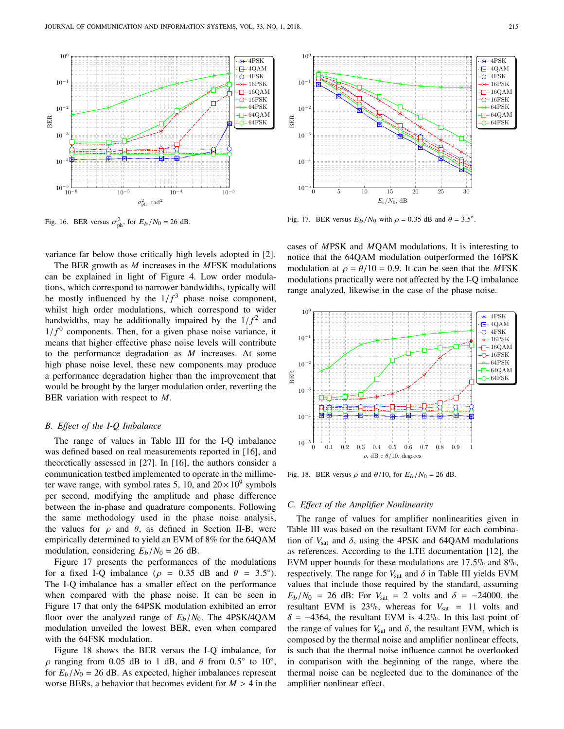

Fig. 16. BER versus  $\sigma_{ph}^2$ , for  $E_b/N_0 = 26$  dB.

variance far below those critically high levels adopted in [2].

The BER growth as *M* increases in the *M*FSK modulations can be explained in light of Figure 4. Low order modulations, which correspond to narrower bandwidths, typically will be mostly influenced by the  $1/f<sup>3</sup>$  phase noise component,<br>whilst high order modulations, which correspond to wider whilst high order modulations, which correspond to wider bandwidths, may be additionally impaired by the  $1/f<sup>2</sup>$  and  $1/f<sup>0</sup>$  components. Then, for a given phase poise variance it  $1/f<sup>0</sup>$  components. Then, for a given phase noise variance, it means that higher effective phase noise levels will contribute means that higher effective phase noise levels will contribute to the performance degradation as *M* increases. At some high phase noise level, these new components may produce a performance degradation higher than the improvement that would be brought by the larger modulation order, reverting the BER variation with respect to *M*.

### *B. Effect of the I-Q Imbalance*

The range of values in Table III for the I-Q imbalance was defined based on real measurements reported in [16], and theoretically assessed in [27]. In [16], the authors consider a communication testbed implemented to operate in the millimeter wave range, with symbol rates 5, 10, and  $20 \times 10^9$  symbols per second, modifying the amplitude and phase difference between the in-phase and quadrature components. Following the same methodology used in the phase noise analysis, the values for  $\rho$  and  $\theta$ , as defined in Section II-B, were empirically determined to yield an EVM of 8% for the 64QAM modulation, considering  $E_b/N_0 = 26$  dB.

Figure 17 presents the performances of the modulations for a fixed I-Q imbalance ( $\rho = 0.35$  dB and  $\theta = 3.5^{\circ}$ ).<br>The LO imbalance has a smaller effect on the performance The I-Q imbalance has a smaller effect on the performance when compared with the phase noise. It can be seen in Figure 17 that only the 64PSK modulation exhibited an error floor over the analyzed range of *<sup>E</sup>*b/*N*0. The 4PSK/4QAM modulation unveiled the lowest BER, even when compared with the 64FSK modulation.

Figure 18 shows the BER versus the I-Q imbalance, for  $ρ$  ranging from 0.05 dB to 1 dB, and θ from 0.5° to 10°, <br>for E,  $N_0 = 26$  dB. As expected higher imbalances represent for  $E_b/N_0 = 26$  dB. As expected, higher imbalances represent worse BERs, a behavior that becomes evident for  $M > 4$  in the



Fig. 17. BER versus  $E_b/N_0$  with  $\rho = 0.35$  dB and  $\theta = 3.5^\circ$ .

cases of *M*PSK and *M*QAM modulations. It is interesting to notice that the 64QAM modulation outperformed the 16PSK modulation at  $\rho = \theta/10 = 0.9$ . It can be seen that the *MFSK* modulations practically were not affected by the I-Q imbalance range analyzed, likewise in the case of the phase noise.



Fig. 18. BER versus  $\rho$  and  $\theta/10$ , for  $E_b/N_0 = 26$  dB.

### *C. Effect of the Amplifier Nonlinearity*

The range of values for amplifier nonlinearities given in Table III was based on the resultant EVM for each combination of  $V_{\text{sat}}$  and  $\delta$ , using the 4PSK and 64QAM modulations as references. According to the LTE documentation [12], the EVM upper bounds for these modulations are <sup>17</sup>.5% and 8%, respectively. The range for  $V_{\text{sat}}$  and  $\delta$  in Table III yields EVM values that include those required by the standard, assuming  $E_b/N_0$  = 26 dB: For  $V_{\text{sat}}$  = 2 volts and  $\delta$  = −24000, the resultant EVM is  $23\%$ , whereas for  $V_{\text{sat}} = 11$  volts and  $\delta$  = −4364, the resultant EVM is 4.2%. In this last point of the range of values for  $V_{\text{sat}}$  and  $\delta$ , the resultant EVM, which is composed by the thermal noise and amplifier nonlinear effects, is such that the thermal noise influence cannot be overlooked in comparison with the beginning of the range, where the thermal noise can be neglected due to the dominance of the amplifier nonlinear effect.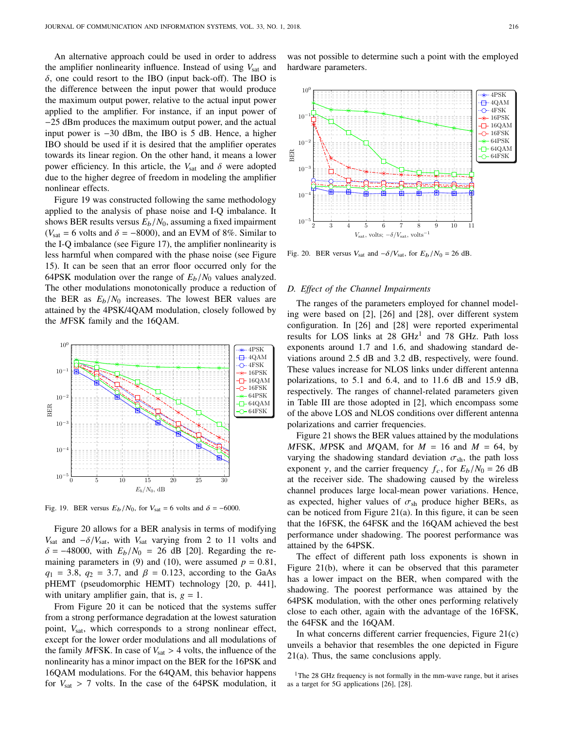An alternative approach could be used in order to address the amplifier nonlinearity influence. Instead of using  $V_{\text{sat}}$  and  $\delta$ , one could resort to the IBO (input back-off). The IBO is the difference between the input power that would produce the maximum output power, relative to the actual input power applied to the amplifier. For instance, if an input power of −25 dBm produces the maximum output power, and the actual input power is −30 dBm, the IBO is 5 dB. Hence, a higher IBO should be used if it is desired that the amplifier operates towards its linear region. On the other hand, it means a lower power efficiency. In this article, the  $V_{\text{sat}}$  and  $\delta$  were adopted due to the higher degree of freedom in modeling the amplifier nonlinear effects.

Figure 19 was constructed following the same methodology applied to the analysis of phase noise and I-Q imbalance. It shows BER results versus  $E_b/N_0$ , assuming a fixed impairment ( $V_{\text{sat}} = 6$  volts and  $\delta = -8000$ ), and an EVM of 8%. Similar to the I-Q imbalance (see Figure 17), the amplifier nonlinearity is less harmful when compared with the phase noise (see Figure 15). It can be seen that an error floor occurred only for the 64PSK modulation over the range of  $E_b/N_0$  values analyzed. The other modulations monotonically produce a reduction of the BER as  $E_b/N_0$  increases. The lowest BER values are attained by the 4PSK/4QAM modulation, closely followed by the *M*FSK family and the 16QAM.



Fig. 19. BER versus  $E_b/N_0$ , for  $V_{\text{sat}} = 6$  volts and  $\delta = -6000$ .

Figure 20 allows for a BER analysis in terms of modifying *V*<sub>sat</sub> and  $-\delta/V_{\text{sat}}$ , with *V*<sub>sat</sub> varying from 2 to 11 volts and  $\delta = -48000$ , with  $E_b/N_0 = 26$  dB [20]. Regarding the remaining parameters in (9) and (10), were assumed  $p = 0.81$ , *q*<sub>1</sub> = 3.8, *q*<sub>2</sub> = 3.7, and  $\beta$  = 0.123, according to the GaAs pHEMT (pseudomorphic HEMT) technology [20, p. 441], with unitary amplifier gain, that is,  $g = 1$ .

From Figure 20 it can be noticed that the systems suffer from a strong performance degradation at the lowest saturation point,  $V_{\text{sat}}$ , which corresponds to a strong nonlinear effect, except for the lower order modulations and all modulations of the family *MFSK*. In case of  $V_{\text{sat}} > 4$  volts, the influence of the nonlinearity has a minor impact on the BER for the 16PSK and 16QAM modulations. For the 64QAM, this behavior happens for  $V_{\text{sat}} > 7$  volts. In the case of the 64PSK modulation, it

was not possible to determine such a point with the employed hardware parameters.



Fig. 20. BER versus  $V_{\text{sat}}$  and  $-\delta/V_{\text{sat}}$ , for  $E_b/N_0 = 26$  dB.

### *D. Effect of the Channel Impairments*

The ranges of the parameters employed for channel modeling were based on [2], [26] and [28], over different system configuration. In [26] and [28] were reported experimental results for LOS links at 28 GHz<sup>1</sup> and 78 GHz. Path loss exponents around <sup>1</sup>.<sup>7</sup> and <sup>1</sup>.6, and shadowing standard deviations around <sup>2</sup>.<sup>5</sup> dB and <sup>3</sup>.<sup>2</sup> dB, respectively, were found. These values increase for NLOS links under different antenna polarizations, to <sup>5</sup>.<sup>1</sup> and <sup>6</sup>.4, and to <sup>11</sup>.<sup>6</sup> dB and <sup>15</sup>.<sup>9</sup> dB, respectively. The ranges of channel-related parameters given in Table III are those adopted in [2], which encompass some of the above LOS and NLOS conditions over different antenna polarizations and carrier frequencies.

Figure 21 shows the BER values attained by the modulations *M*FSK, *MPSK* and *MQAM*, for  $M = 16$  and  $M = 64$ , by varying the shadowing standard deviation  $\sigma_{sh}$ , the path loss exponent  $\gamma$ , and the carrier frequency  $f_c$ , for  $E_b/N_0 = 26$  dB at the receiver side. The shadowing caused by the wireless channel produces large local-mean power variations. Hence, as expected, higher values of  $\sigma_{sh}$  produce higher BERs, as can be noticed from Figure 21(a). In this figure, it can be seen that the 16FSK, the 64FSK and the 16QAM achieved the best performance under shadowing. The poorest performance was attained by the 64PSK.

The effect of different path loss exponents is shown in Figure 21(b), where it can be observed that this parameter has a lower impact on the BER, when compared with the shadowing. The poorest performance was attained by the 64PSK modulation, with the other ones performing relatively close to each other, again with the advantage of the 16FSK, the 64FSK and the 16QAM.

In what concerns different carrier frequencies, Figure  $21(c)$ unveils a behavior that resembles the one depicted in Figure 21(a). Thus, the same conclusions apply.

<sup>1</sup>The 28 GHz frequency is not formally in the mm-wave range, but it arises as a target for 5G applications [26], [28].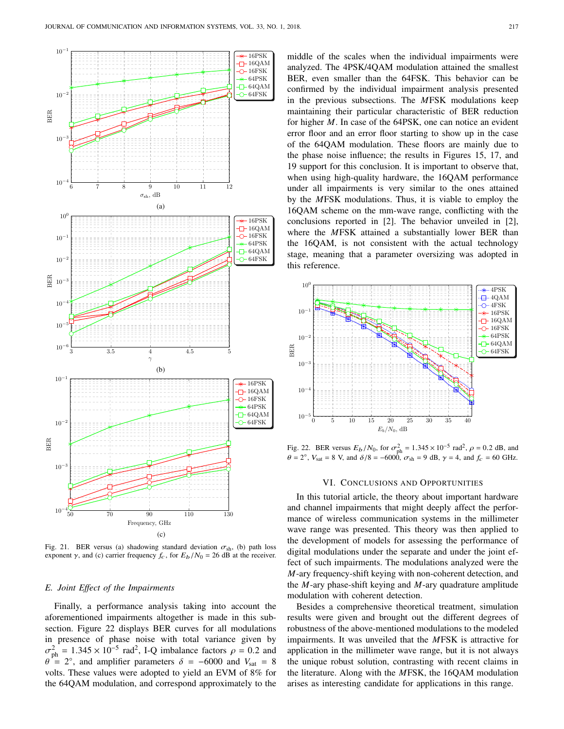

Fig. 21. BER versus (a) shadowing standard deviation  $\sigma_{\rm sh}$ , (b) path loss exponent  $\gamma$ , and (c) carrier frequency  $f_c$ , for  $E_b/N_0 = 26$  dB at the receiver.

### *E. Joint Effect of the Impairments*

Finally, a performance analysis taking into account the aforementioned impairments altogether is made in this subsection. Figure 22 displays BER curves for all modulations in presence of phase noise with total variance given by  $θ$  = 2°, and amplifier parameters  $δ$  = -6000 and *V*<sub>sat</sub> = 8<br>volts. These values were adopted to vield an FVM of 8% for  $p_{\text{ph}}^2 = 1.345 \times 10^{-5} \text{ rad}^2$ , I-Q imbalance factors  $\rho = 0.2$  and  $p_{\text{ph}}^2 = 2^\circ$  and amplifier parameters  $\delta = -6000$  and  $V = 8$ volts. These values were adopted to yield an EVM of 8% for the 64QAM modulation, and correspond approximately to the middle of the scales when the individual impairments were analyzed. The 4PSK/4QAM modulation attained the smallest BER, even smaller than the 64FSK. This behavior can be confirmed by the individual impairment analysis presented in the previous subsections. The *M*FSK modulations keep maintaining their particular characteristic of BER reduction for higher *M*. In case of the 64PSK, one can notice an evident error floor and an error floor starting to show up in the case of the 64QAM modulation. These floors are mainly due to the phase noise influence; the results in Figures 15, 17, and 19 support for this conclusion. It is important to observe that, when using high-quality hardware, the 16OAM performance under all impairments is very similar to the ones attained by the *M*FSK modulations. Thus, it is viable to employ the 16QAM scheme on the mm-wave range, conflicting with the conclusions reported in [2]. The behavior unveiled in [2], where the *M*FSK attained a substantially lower BER than the 16QAM, is not consistent with the actual technology stage, meaning that a parameter oversizing was adopted in this reference.



Fig. 22. BER versus  $E_b/N_0$ , for  $\sigma_{ph}^2 = 1.345 \times 10^{-5}$  rad<sup>2</sup>,  $\rho = 0.2$  dB, and  $\rho = 2^\circ$  M =  $8$  M and  $\delta/8 = -6000$   $\sigma$  = 0.4B  $\gamma = 4$ , and  $f = 60$  GHz  $\theta = 2^{\circ}$ ,  $V_{\text{sat}} = 8$  V, and  $\delta/8 = -6000$ ,  $\sigma_{\text{sh}} = 9$  dB,  $\gamma = 4$ , and  $f_c = 60$  GHz.

### VI. CONCLUSIONS AND OPPORTUNITIES

In this tutorial article, the theory about important hardware and channel impairments that might deeply affect the performance of wireless communication systems in the millimeter wave range was presented. This theory was then applied to the development of models for assessing the performance of digital modulations under the separate and under the joint effect of such impairments. The modulations analyzed were the *M*-ary frequency-shift keying with non-coherent detection, and the *M*-ary phase-shift keying and *M*-ary quadrature amplitude modulation with coherent detection.

Besides a comprehensive theoretical treatment, simulation results were given and brought out the different degrees of robustness of the above-mentioned modulations to the modeled impairments. It was unveiled that the *M*FSK is attractive for application in the millimeter wave range, but it is not always the unique robust solution, contrasting with recent claims in the literature. Along with the *M*FSK, the 16QAM modulation arises as interesting candidate for applications in this range.